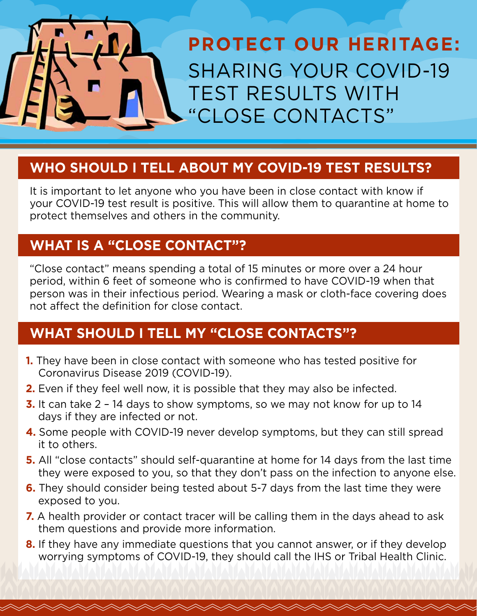

#### **WHO SHOULD I TELL ABOUT MY COVID-19 TEST RESULTS?**

It is important to let anyone who you have been in close contact with know if your COVID-19 test result is positive. This will allow them to quarantine at home to protect themselves and others in the community.

### **WHAT IS A "CLOSE CONTACT"?**

"Close contact" means spending a total of 15 minutes or more over a 24 hour period, within 6 feet of someone who is confirmed to have COVID-19 when that person was in their infectious period. Wearing a mask or cloth-face covering does not affect the definition for close contact.

# **WHAT SHOULD I TELL MY "CLOSE CONTACTS"?**

- **1.** They have been in close contact with someone who has tested positive for Coronavirus Disease 2019 (COVID-19).
- **2.** Even if they feel well now, it is possible that they may also be infected.
- **3.** It can take 2 14 days to show symptoms, so we may not know for up to 14 days if they are infected or not.
- **4.** Some people with COVID-19 never develop symptoms, but they can still spread it to others.
- **5.** All "close contacts" should self-quarantine at home for 14 days from the last time they were exposed to you, so that they don't pass on the infection to anyone else.
- **6.** They should consider being tested about 5-7 days from the last time they were exposed to you.
- **7.** A health provider or contact tracer will be calling them in the days ahead to ask them questions and provide more information.
- **8.** If they have any immediate questions that you cannot answer, or if they develop worrying symptoms of COVID-19, they should call the IHS or Tribal Health Clinic.